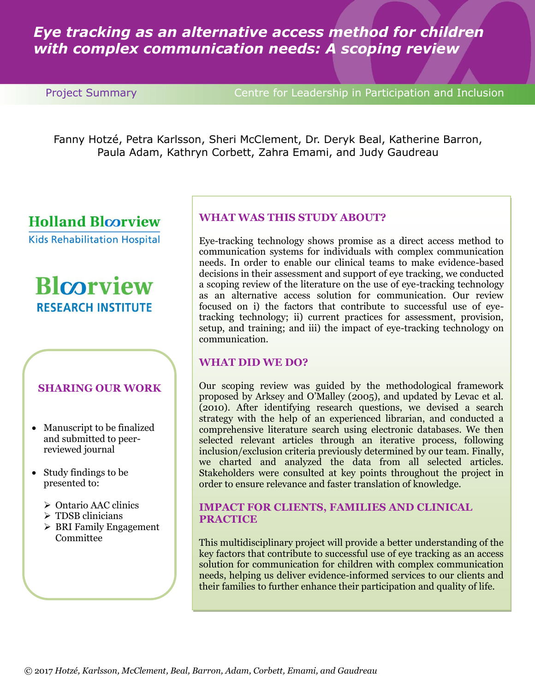# *Eye tracking as an alternative access method for children with complex communication needs: A scoping review*

**Project Summary Centre for Leadership in Participation and Inclusion** 

Fanny Hotzé, Petra Karlsson, Sheri McClement, Dr. Deryk Beal, Katherine Barron, Paula Adam, Kathryn Corbett, Zahra Emami, and Judy Gaudreau

# **Holland Bloorview**

**Kids Rehabilitation Hospital** 

# **Blcorview RESEARCH INSTITUTE**

## **SHARING OUR WORK**

- Manuscript to be finalized and submitted to peerreviewed journal
- Study findings to be presented to:
	- Ontario AAC clinics
	- > TDSB clinicians
	- $\triangleright$  BRI Family Engagement Committee

# **WHAT WAS THIS STUDY ABOUT?**

Eye-tracking technology shows promise as a direct access method to communication systems for individuals with complex communication needs. In order to enable our clinical teams to make evidence-based decisions in their assessment and support of eye tracking, we conducted a scoping review of the literature on the use of eye-tracking technology as an alternative access solution for communication. Our review focused on i) the factors that contribute to successful use of eyetracking technology; ii) current practices for assessment, provision, setup, and training; and iii) the impact of eye-tracking technology on communication.

## **WHAT DID WE DO?**

Our scoping review was guided by the methodological framework proposed by Arksey and O'Malley (2005), and updated by Levac et al. (2010). After identifying research questions, we devised a search strategy with the help of an experienced librarian, and conducted a comprehensive literature search using electronic databases. We then selected relevant articles through an iterative process, following inclusion/exclusion criteria previously determined by our team. Finally, we charted and analyzed the data from all selected articles. Stakeholders were consulted at key points throughout the project in order to ensure relevance and faster translation of knowledge.

#### **IMPACT FOR CLIENTS, FAMILIES AND CLINICAL PRACTICE**

This multidisciplinary project will provide a better understanding of the key factors that contribute to successful use of eye tracking as an access solution for communication for children with complex communication needs, helping us deliver evidence-informed services to our clients and their families to further enhance their participation and quality of life.